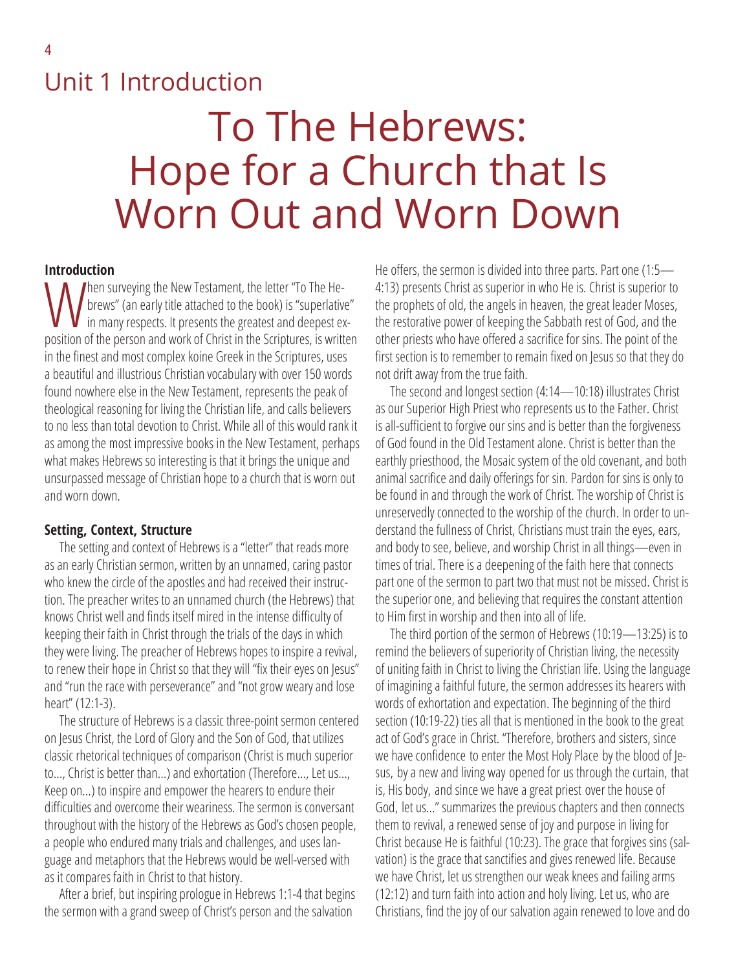## Unit 1 Introduction

# To The Hebrews: Hope for a Church that Is Worn Out and Worn Down

### **Introduction**

Then surveying the New Testament, the letter "To The Hebrews" (an early title attached to the book) is "superlative" in many respects. It presents the greatest and deepest exposition of the person and work of Christ in the Scriptures, is written in the finest and most complex koine Greek in the Scriptures, uses a beautiful and illustrious Christian vocabulary with over 150 words found nowhere else in the New Testament, represents the peak of theological reasoning for living the Christian life, and calls believers to no less than total devotion to Christ. While all of this would rank it as among the most impressive books in the New Testament, perhaps what makes Hebrews so interesting is that it brings the unique and unsurpassed message of Christian hope to a church that is worn out and worn down.

#### **Setting, Context, Structure**

The setting and context of Hebrews is a "letter" that reads more as an early Christian sermon, written by an unnamed, caring pastor who knew the circle of the apostles and had received their instruction. The preacher writes to an unnamed church (the Hebrews) that knows Christ well and finds itself mired in the intense difficulty of keeping their faith in Christ through the trials of the days in which they were living. The preacher of Hebrews hopes to inspire a revival, to renew their hope in Christ so that they will "fix their eyes on Jesus" and "run the race with perseverance" and "not grow weary and lose heart" (12:1-3).

The structure of Hebrews is a classic three-point sermon centered on Jesus Christ, the Lord of Glory and the Son of God, that utilizes classic rhetorical techniques of comparison (Christ is much superior to…, Christ is better than…) and exhortation (Therefore…, Let us…, Keep on…) to inspire and empower the hearers to endure their difficulties and overcome their weariness. The sermon is conversant throughout with the history of the Hebrews as God's chosen people, a people who endured many trials and challenges, and uses language and metaphors that the Hebrews would be well-versed with as it compares faith in Christ to that history.

After a brief, but inspiring prologue in Hebrews 1:1-4 that begins the sermon with a grand sweep of Christ's person and the salvation

He offers, the sermon is divided into three parts. Part one (1:5— 4:13) presents Christ as superior in who He is. Christ is superior to the prophets of old, the angels in heaven, the great leader Moses, the restorative power of keeping the Sabbath rest of God, and the other priests who have offered a sacrifice for sins. The point of the first section is to remember to remain fixed on Jesus so that they do not drift away from the true faith.

The second and longest section (4:14—10:18) illustrates Christ as our Superior High Priest who represents us to the Father. Christ is all-sufficient to forgive our sins and is better than the forgiveness of God found in the Old Testament alone. Christ is better than the earthly priesthood, the Mosaic system of the old covenant, and both animal sacrifice and daily offerings for sin. Pardon for sins is only to be found in and through the work of Christ. The worship of Christ is unreservedly connected to the worship of the church. In order to understand the fullness of Christ, Christians must train the eyes, ears, and body to see, believe, and worship Christ in all things—even in times of trial. There is a deepening of the faith here that connects part one of the sermon to part two that must not be missed. Christ is the superior one, and believing that requires the constant attention to Him first in worship and then into all of life.

The third portion of the sermon of Hebrews (10:19—13:25) is to remind the believers of superiority of Christian living, the necessity of uniting faith in Christ to living the Christian life. Using the language of imagining a faithful future, the sermon addresses its hearers with words of exhortation and expectation. The beginning of the third section (10:19-22) ties all that is mentioned in the book to the great act of God's grace in Christ. "Therefore, brothers and sisters, since we have confidence to enter the Most Holy Place by the blood of Jesus, by a new and living way opened for us through the curtain, that is, His body, and since we have a great priest over the house of God, let us…" summarizes the previous chapters and then connects them to revival, a renewed sense of joy and purpose in living for Christ because He is faithful (10:23). The grace that forgives sins (salvation) is the grace that sanctifies and gives renewed life. Because we have Christ, let us strengthen our weak knees and failing arms (12:12) and turn faith into action and holy living. Let us, who are Christians, find the joy of our salvation again renewed to love and do